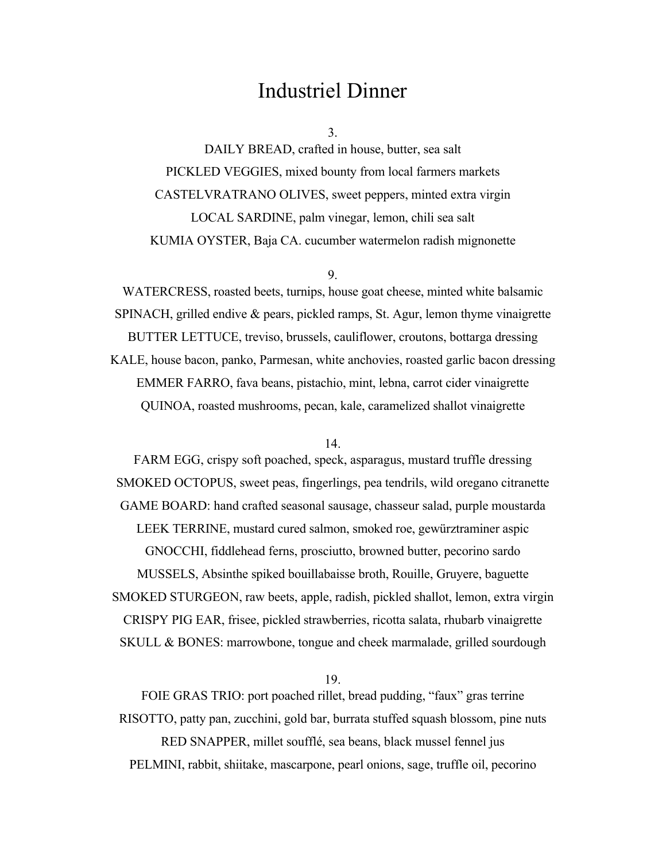## Industriel Dinner

3.

DAILY BREAD, crafted in house, butter, sea salt PICKLED VEGGIES, mixed bounty from local farmers markets CASTELVRATRANO OLIVES, sweet peppers, minted extra virgin LOCAL SARDINE, palm vinegar, lemon, chili sea salt KUMIA OYSTER, Baja CA. cucumber watermelon radish mignonette

9.

WATERCRESS, roasted beets, turnips, house goat cheese, minted white balsamic SPINACH, grilled endive & pears, pickled ramps, St. Agur, lemon thyme vinaigrette BUTTER LETTUCE, treviso, brussels, cauliflower, croutons, bottarga dressing KALE, house bacon, panko, Parmesan, white anchovies, roasted garlic bacon dressing EMMER FARRO, fava beans, pistachio, mint, lebna, carrot cider vinaigrette QUINOA, roasted mushrooms, pecan, kale, caramelized shallot vinaigrette

14.

FARM EGG, crispy soft poached, speck, asparagus, mustard truffle dressing SMOKED OCTOPUS, sweet peas, fingerlings, pea tendrils, wild oregano citranette GAME BOARD: hand crafted seasonal sausage, chasseur salad, purple moustarda LEEK TERRINE, mustard cured salmon, smoked roe, gewürztraminer aspic GNOCCHI, fiddlehead ferns, prosciutto, browned butter, pecorino sardo MUSSELS, Absinthe spiked bouillabaisse broth, Rouille, Gruyere, baguette SMOKED STURGEON, raw beets, apple, radish, pickled shallot, lemon, extra virgin CRISPY PIG EAR, frisee, pickled strawberries, ricotta salata, rhubarb vinaigrette SKULL & BONES: marrowbone, tongue and cheek marmalade, grilled sourdough

19.

FOIE GRAS TRIO: port poached rillet, bread pudding, "faux" gras terrine RISOTTO, patty pan, zucchini, gold bar, burrata stuffed squash blossom, pine nuts RED SNAPPER, millet soufflé, sea beans, black mussel fennel jus PELMINI, rabbit, shiitake, mascarpone, pearl onions, sage, truffle oil, pecorino